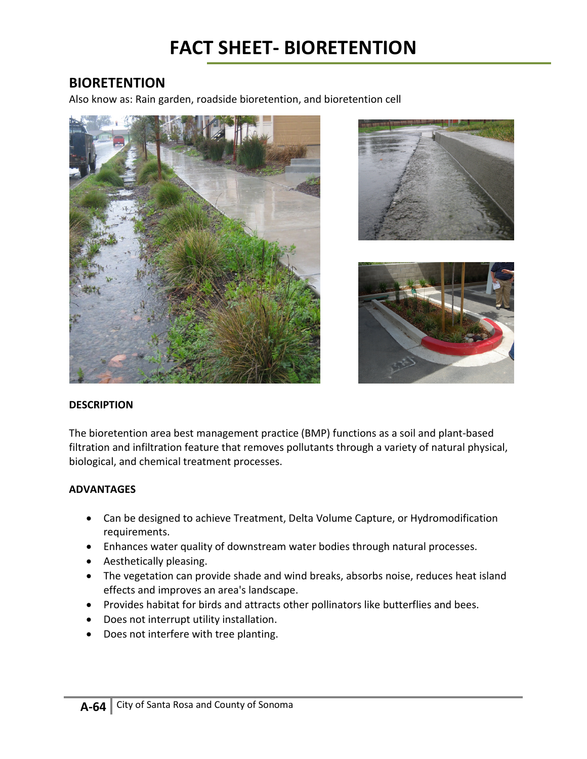# **BIORETENTION**

Also know as: Rain garden, roadside bioretention, and bioretention cell







#### **DESCRIPTION**

The bioretention area best management practice (BMP) functions as a soil and plant-based filtration and infiltration feature that removes pollutants through a variety of natural physical, biological, and chemical treatment processes.

#### **ADVANTAGES**

- Can be designed to achieve Treatment, Delta Volume Capture, or Hydromodification requirements.
- Enhances water quality of downstream water bodies through natural processes.
- Aesthetically pleasing.
- The vegetation can provide shade and wind breaks, absorbs noise, reduces heat island effects and improves an area's landscape.
- Provides habitat for birds and attracts other pollinators like butterflies and bees.
- Does not interrupt utility installation.
- Does not interfere with tree planting.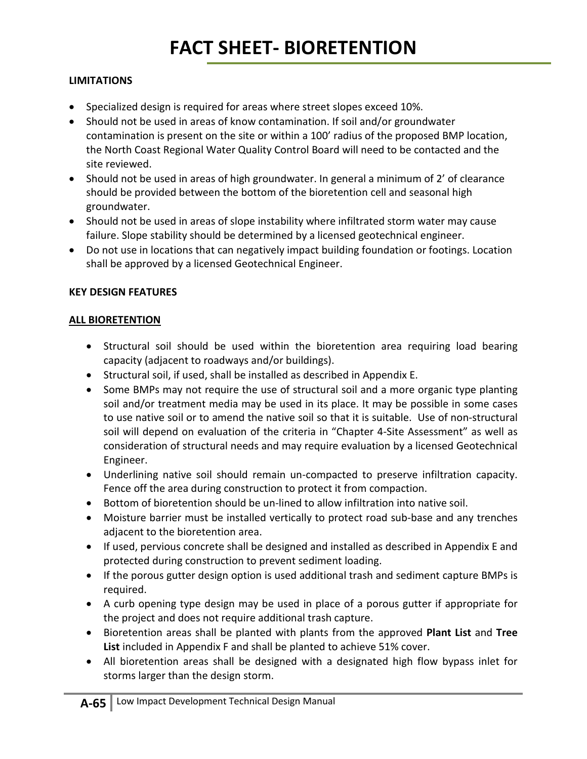# **FACT SHEET- BIORETENTION**

## **LIMITATIONS**

- Specialized design is required for areas where street slopes exceed 10%.
- Should not be used in areas of know contamination. If soil and/or groundwater contamination is present on the site or within a 100' radius of the proposed BMP location, the North Coast Regional Water Quality Control Board will need to be contacted and the site reviewed.
- Should not be used in areas of high groundwater. In general a minimum of 2' of clearance should be provided between the bottom of the bioretention cell and seasonal high groundwater.
- Should not be used in areas of slope instability where infiltrated storm water may cause failure. Slope stability should be determined by a licensed geotechnical engineer.
- Do not use in locations that can negatively impact building foundation or footings. Location shall be approved by a licensed Geotechnical Engineer.

### **KEY DESIGN FEATURES**

### **ALL BIORETENTION**

- Structural soil should be used within the bioretention area requiring load bearing capacity (adjacent to roadways and/or buildings).
- Structural soil, if used, shall be installed as described in Appendix E.
- Some BMPs may not require the use of structural soil and a more organic type planting soil and/or treatment media may be used in its place. It may be possible in some cases to use native soil or to amend the native soil so that it is suitable. Use of non-structural soil will depend on evaluation of the criteria in "Chapter 4-Site Assessment" as well as consideration of structural needs and may require evaluation by a licensed Geotechnical Engineer.
- Underlining native soil should remain un-compacted to preserve infiltration capacity. Fence off the area during construction to protect it from compaction.
- Bottom of bioretention should be un-lined to allow infiltration into native soil.
- Moisture barrier must be installed vertically to protect road sub-base and any trenches adjacent to the bioretention area.
- If used, pervious concrete shall be designed and installed as described in Appendix E and protected during construction to prevent sediment loading.
- If the porous gutter design option is used additional trash and sediment capture BMPs is required.
- A curb opening type design may be used in place of a porous gutter if appropriate for the project and does not require additional trash capture.
- Bioretention areas shall be planted with plants from the approved **Plant List** and **Tree List** included in Appendix F and shall be planted to achieve 51% cover.
- All bioretention areas shall be designed with a designated high flow bypass inlet for storms larger than the design storm.